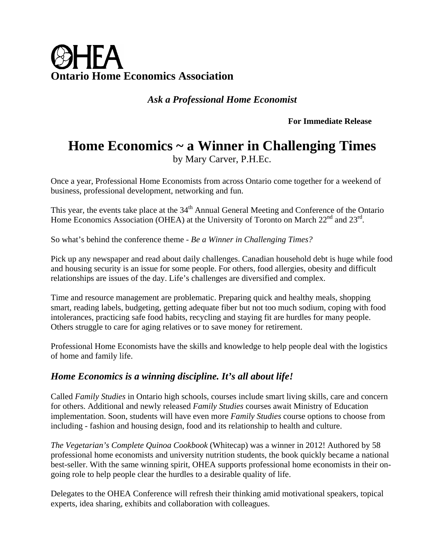# ØHFA **Ontario Home Economics Association**

*Ask a Professional Home Economist* 

**For Immediate Release**

# **Home Economics ~ a Winner in Challenging Times**

by Mary Carver, P.H.Ec.

Once a year, Professional Home Economists from across Ontario come together for a weekend of business, professional development, networking and fun.

This year, the events take place at the 34<sup>th</sup> Annual General Meeting and Conference of the Ontario Home Economics Association (OHEA) at the University of Toronto on March 22<sup>nd</sup> and 23<sup>rd</sup>.

So what's behind the conference theme - *Be a Winner in Challenging Times?* 

Pick up any newspaper and read about daily challenges. Canadian household debt is huge while food and housing security is an issue for some people. For others, food allergies, obesity and difficult relationships are issues of the day. Life's challenges are diversified and complex.

Time and resource management are problematic. Preparing quick and healthy meals, shopping smart, reading labels, budgeting, getting adequate fiber but not too much sodium, coping with food intolerances, practicing safe food habits, recycling and staying fit are hurdles for many people. Others struggle to care for aging relatives or to save money for retirement.

Professional Home Economists have the skills and knowledge to help people deal with the logistics of home and family life.

## *Home Economics is a winning discipline. It's all about life!*

Called *Family Studies* in Ontario high schools, courses include smart living skills, care and concern for others. Additional and newly released *Family Studies* courses await Ministry of Education implementation. Soon, students will have even more *Family Studies* course options to choose from including - fashion and housing design, food and its relationship to health and culture.

*The Vegetarian's Complete Quinoa Cookbook* (Whitecap) was a winner in 2012! Authored by 58 professional home economists and university nutrition students, the book quickly became a national best-seller. With the same winning spirit, OHEA supports professional home economists in their ongoing role to help people clear the hurdles to a desirable quality of life.

Delegates to the OHEA Conference will refresh their thinking amid motivational speakers, topical experts, idea sharing, exhibits and collaboration with colleagues.